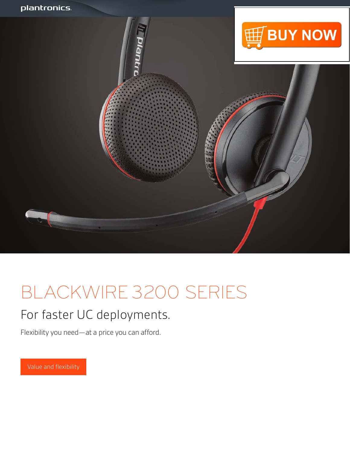

# BLACKWIRE 3200 SERIES

### For faster UC deployments.

Flexibility you need—at a price you can afford.

Value and flexibility